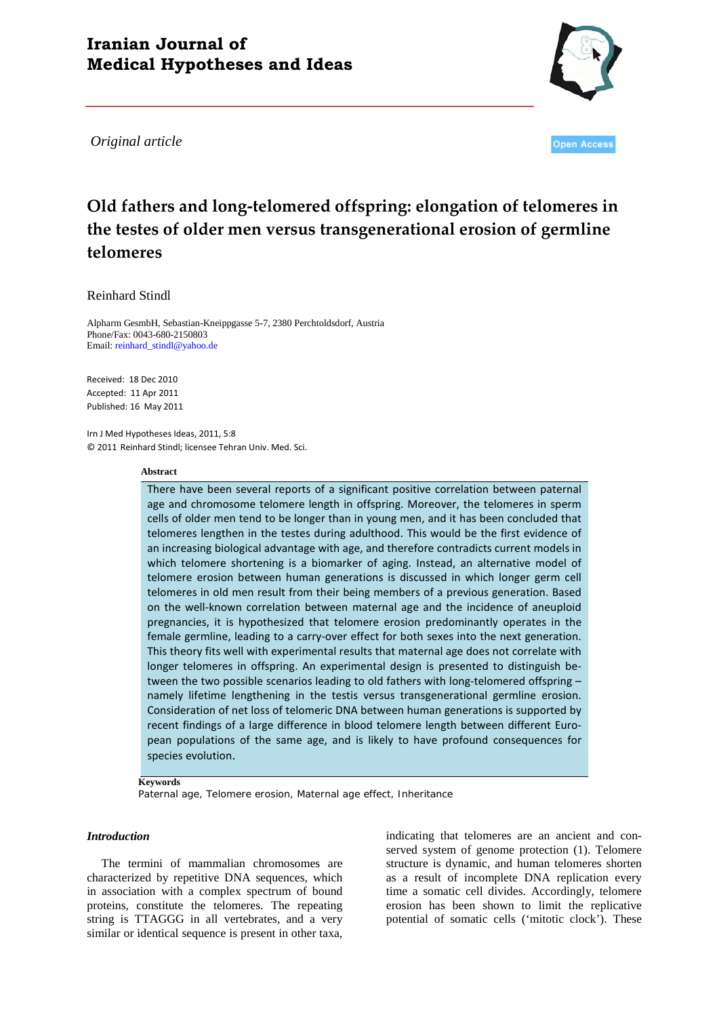## **Iranian Journal of Medical Hypotheses and Ideas**

*Original article*



**Open Access** 

# **Old fathers and long-telomered offspring: elongation of telomeres in the testes of older men versus transgenerational erosion of germline telomeres**

## Reinhard Stindl

Alpharm GesmbH, Sebastian-Kneippgasse 5-7, 2380 Perchtoldsdorf, Austria Phone/Fax: 0043-680-2150803 Email[: reinhard\\_stindl@yahoo.de](mailto:reinhard_stindl@yahoo.de)

Received: 18 Dec 2010 Accepted: 11 Apr 2011 Published: 16 May 2011

Irn J Med Hypotheses Ideas, 2011, 5:8 © 2011 Reinhard Stindl; licensee Tehran Univ. Med. Sci.

#### **Abstract**

There have been several reports of a significant positive correlation between paternal age and chromosome telomere length in offspring. Moreover, the telomeres in sperm cells of older men tend to be longer than in young men, and it has been concluded that telomeres lengthen in the testes during adulthood. This would be the first evidence of an increasing biological advantage with age, and therefore contradicts current models in which telomere shortening is a biomarker of aging. Instead, an alternative model of telomere erosion between human generations is discussed in which longer germ cell telomeres in old men result from their being members of a previous generation. Based on the well-known correlation between maternal age and the incidence of aneuploid pregnancies, it is hypothesized that telomere erosion predominantly operates in the female germline, leading to a carry-over effect for both sexes into the next generation. This theory fits well with experimental results that maternal age does not correlate with longer telomeres in offspring. An experimental design is presented to distinguish between the two possible scenarios leading to old fathers with long-telomered offspring – namely lifetime lengthening in the testis versus transgenerational germline erosion. Consideration of net loss of telomeric DNA between human generations is supported by recent findings of a large difference in blood telomere length between different European populations of the same age, and is likely to have profound consequences for species evolution.

#### **Keywords**

*Paternal age, Telomere erosion, Maternal age effect, Inheritance*

## *Introduction*

The termini of mammalian chromosomes are characterized by repetitive DNA sequences, which in association with a complex spectrum of bound proteins, constitute the telomeres. The repeating string is TTAGGG in all vertebrates, and a very similar or identical sequence is present in other taxa, indicating that telomeres are an ancient and conserved system of genome protection (1). Telomere structure is dynamic, and human telomeres shorten as a result of incomplete DNA replication every time a somatic cell divides. Accordingly, telomere erosion has been shown to limit the replicative potential of somatic cells ('mitotic clock'). These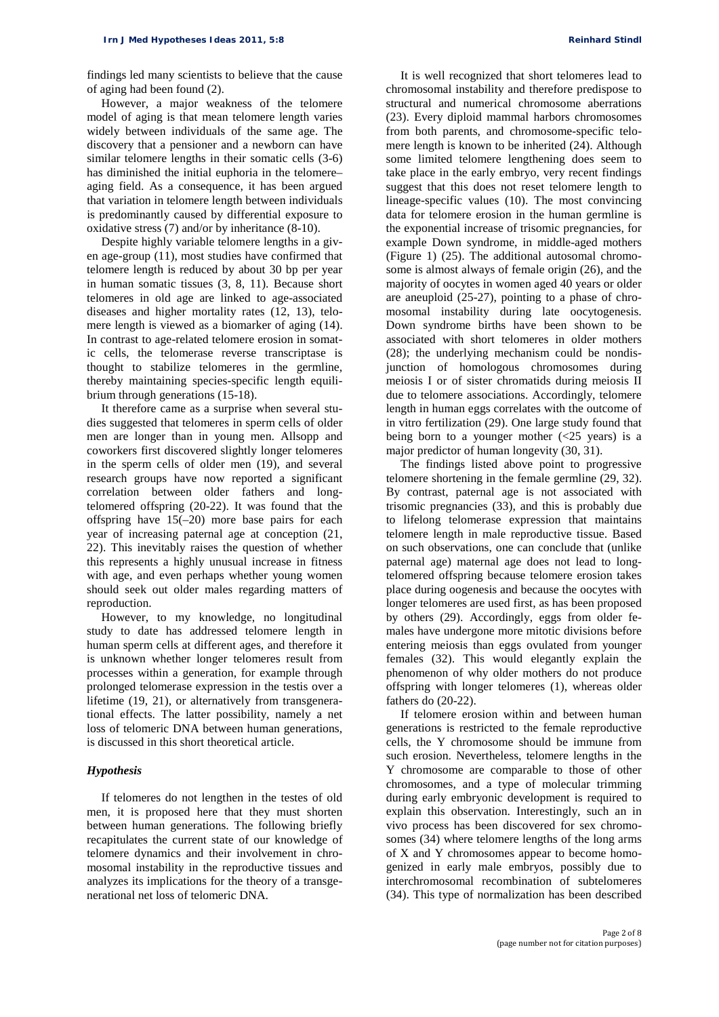findings led many scientists to believe that the cause of aging had been found (2).

However, a major weakness of the telomere model of aging is that mean telomere length varies widely between individuals of the same age. The discovery that a pensioner and a newborn can have similar telomere lengths in their somatic cells (3-6) has diminished the initial euphoria in the telomere– aging field. As a consequence, it has been argued that variation in telomere length between individuals is predominantly caused by differential exposure to oxidative stress (7) and/or by inheritance (8-10).

Despite highly variable telomere lengths in a given age-group (11), most studies have confirmed that telomere length is reduced by about 30 bp per year in human somatic tissues (3, 8, 11). Because short telomeres in old age are linked to age-associated diseases and higher mortality rates (12, 13), telomere length is viewed as a biomarker of aging (14). In contrast to age-related telomere erosion in somatic cells, the telomerase reverse transcriptase is thought to stabilize telomeres in the germline, thereby maintaining species-specific length equilibrium through generations (15-18).

It therefore came as a surprise when several studies suggested that telomeres in sperm cells of older men are longer than in young men. Allsopp and coworkers first discovered slightly longer telomeres in the sperm cells of older men (19), and several research groups have now reported a significant correlation between older fathers and longtelomered offspring (20-22). It was found that the offspring have 15(–20) more base pairs for each year of increasing paternal age at conception (21, 22). This inevitably raises the question of whether this represents a highly unusual increase in fitness with age, and even perhaps whether young women should seek out older males regarding matters of reproduction.

However, to my knowledge, no longitudinal study to date has addressed telomere length in human sperm cells at different ages, and therefore it is unknown whether longer telomeres result from processes within a generation, for example through prolonged telomerase expression in the testis over a lifetime (19, 21), or alternatively from transgenerational effects. The latter possibility, namely a net loss of telomeric DNA between human generations, is discussed in this short theoretical article.

#### *Hypothesis*

If telomeres do not lengthen in the testes of old men, it is proposed here that they must shorten between human generations. The following briefly recapitulates the current state of our knowledge of telomere dynamics and their involvement in chromosomal instability in the reproductive tissues and analyzes its implications for the theory of a transgenerational net loss of telomeric DNA.

It is well recognized that short telomeres lead to chromosomal instability and therefore predispose to structural and numerical chromosome aberrations (23). Every diploid mammal harbors chromosomes from both parents, and chromosome-specific telomere length is known to be inherited (24). Although some limited telomere lengthening does seem to take place in the early embryo, very recent findings suggest that this does not reset telomere length to lineage-specific values (10). The most convincing data for telomere erosion in the human germline is the exponential increase of trisomic pregnancies, for example Down syndrome, in middle-aged mothers (Figure 1) (25). The additional autosomal chromosome is almost always of female origin (26), and the majority of oocytes in women aged 40 years or older are aneuploid (25-27), pointing to a phase of chromosomal instability during late oocytogenesis. Down syndrome births have been shown to be associated with short telomeres in older mothers (28); the underlying mechanism could be nondisjunction of homologous chromosomes during meiosis I or of sister chromatids during meiosis II due to telomere associations. Accordingly, telomere length in human eggs correlates with the outcome of in vitro fertilization (29). One large study found that being born to a younger mother  $\langle$  <25 years) is a major predictor of human longevity (30, 31).

The findings listed above point to progressive telomere shortening in the female germline (29, 32). By contrast, paternal age is not associated with trisomic pregnancies (33), and this is probably due to lifelong telomerase expression that maintains telomere length in male reproductive tissue. Based on such observations, one can conclude that (unlike paternal age) maternal age does not lead to longtelomered offspring because telomere erosion takes place during oogenesis and because the oocytes with longer telomeres are used first, as has been proposed by others (29). Accordingly, eggs from older females have undergone more mitotic divisions before entering meiosis than eggs ovulated from younger females (32). This would elegantly explain the phenomenon of why older mothers do not produce offspring with longer telomeres (1), whereas older fathers do (20-22).

If telomere erosion within and between human generations is restricted to the female reproductive cells, the Y chromosome should be immune from such erosion. Nevertheless, telomere lengths in the Y chromosome are comparable to those of other chromosomes, and a type of molecular trimming during early embryonic development is required to explain this observation. Interestingly, such an in vivo process has been discovered for sex chromosomes (34) where telomere lengths of the long arms of X and Y chromosomes appear to become homogenized in early male embryos, possibly due to interchromosomal recombination of subtelomeres (34). This type of normalization has been described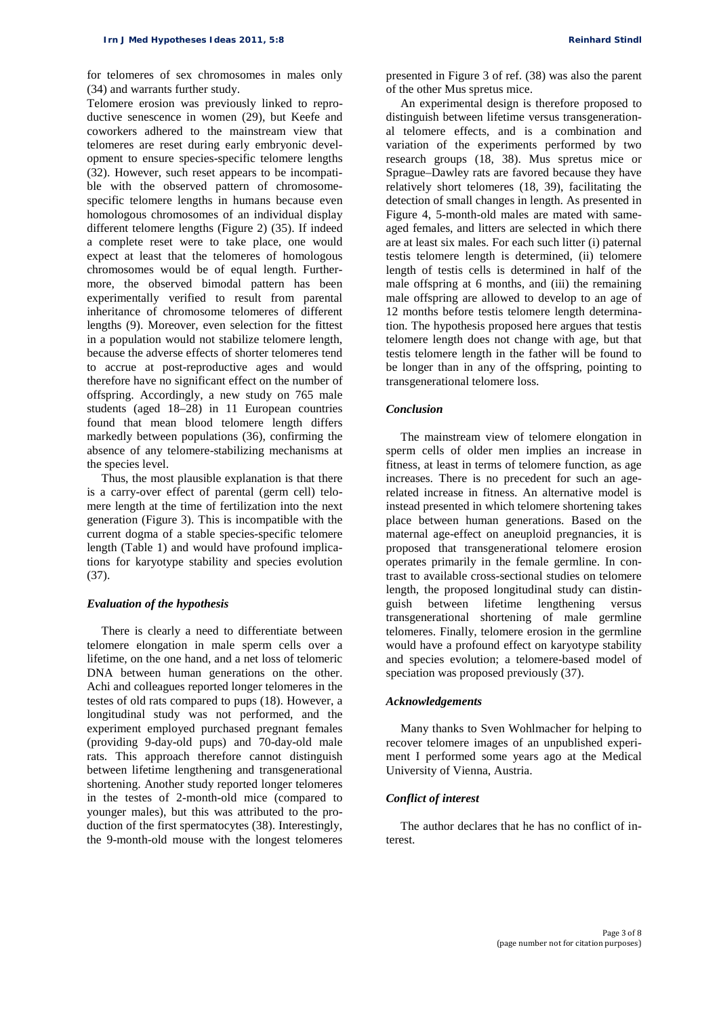for telomeres of sex chromosomes in males only (34) and warrants further study.

Telomere erosion was previously linked to reproductive senescence in women (29), but Keefe and coworkers adhered to the mainstream view that telomeres are reset during early embryonic development to ensure species-specific telomere lengths (32). However, such reset appears to be incompatible with the observed pattern of chromosomespecific telomere lengths in humans because even homologous chromosomes of an individual display different telomere lengths (Figure 2) (35). If indeed a complete reset were to take place, one would expect at least that the telomeres of homologous chromosomes would be of equal length. Furthermore, the observed bimodal pattern has been experimentally verified to result from parental inheritance of chromosome telomeres of different lengths (9). Moreover, even selection for the fittest in a population would not stabilize telomere length, because the adverse effects of shorter telomeres tend to accrue at post-reproductive ages and would therefore have no significant effect on the number of offspring. Accordingly, a new study on 765 male students (aged 18–28) in 11 European countries found that mean blood telomere length differs markedly between populations (36), confirming the absence of any telomere-stabilizing mechanisms at the species level.

Thus, the most plausible explanation is that there is a carry-over effect of parental (germ cell) telomere length at the time of fertilization into the next generation (Figure 3). This is incompatible with the current dogma of a stable species-specific telomere length (Table 1) and would have profound implications for karyotype stability and species evolution (37).

#### *Evaluation of the hypothesis*

There is clearly a need to differentiate between telomere elongation in male sperm cells over a lifetime, on the one hand, and a net loss of telomeric DNA between human generations on the other. Achi and colleagues reported longer telomeres in the testes of old rats compared to pups (18). However, a longitudinal study was not performed, and the experiment employed purchased pregnant females (providing 9-day-old pups) and 70-day-old male rats. This approach therefore cannot distinguish between lifetime lengthening and transgenerational shortening. Another study reported longer telomeres in the testes of 2-month-old mice (compared to younger males), but this was attributed to the production of the first spermatocytes (38). Interestingly, the 9-month-old mouse with the longest telomeres

presented in Figure 3 of ref. (38) was also the parent of the other Mus spretus mice.

An experimental design is therefore proposed to distinguish between lifetime versus transgenerational telomere effects, and is a combination and variation of the experiments performed by two research groups (18, 38). Mus spretus mice or Sprague–Dawley rats are favored because they have relatively short telomeres (18, 39), facilitating the detection of small changes in length. As presented in Figure 4, 5-month-old males are mated with sameaged females, and litters are selected in which there are at least six males. For each such litter (i) paternal testis telomere length is determined, (ii) telomere length of testis cells is determined in half of the male offspring at 6 months, and (iii) the remaining male offspring are allowed to develop to an age of 12 months before testis telomere length determination. The hypothesis proposed here argues that testis telomere length does not change with age, but that testis telomere length in the father will be found to be longer than in any of the offspring, pointing to transgenerational telomere loss.

#### *Conclusion*

The mainstream view of telomere elongation in sperm cells of older men implies an increase in fitness, at least in terms of telomere function, as age increases. There is no precedent for such an agerelated increase in fitness. An alternative model is instead presented in which telomere shortening takes place between human generations. Based on the maternal age-effect on aneuploid pregnancies, it is proposed that transgenerational telomere erosion operates primarily in the female germline. In contrast to available cross-sectional studies on telomere length, the proposed longitudinal study can distinguish between lifetime lengthening versus transgenerational shortening of male germline telomeres. Finally, telomere erosion in the germline would have a profound effect on karyotype stability and species evolution; a telomere-based model of speciation was proposed previously (37).

## *Acknowledgements*

Many thanks to Sven Wohlmacher for helping to recover telomere images of an unpublished experiment I performed some years ago at the Medical University of Vienna, Austria.

#### *Conflict of interest*

The author declares that he has no conflict of interest.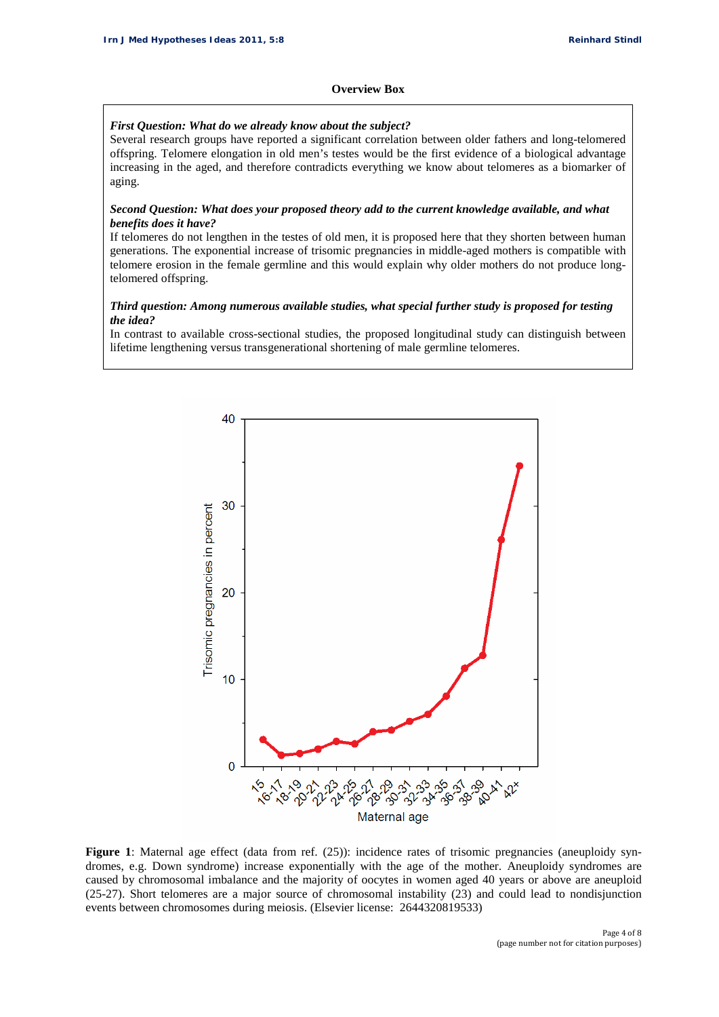## **Overview Box**

## *First Question: What do we already know about the subject?*

Several research groups have reported a significant correlation between older fathers and long-telomered offspring. Telomere elongation in old men's testes would be the first evidence of a biological advantage increasing in the aged, and therefore contradicts everything we know about telomeres as a biomarker of aging.

## *Second Question: What does your proposed theory add to the current knowledge available, and what benefits does it have?*

If telomeres do not lengthen in the testes of old men, it is proposed here that they shorten between human generations. The exponential increase of trisomic pregnancies in middle-aged mothers is compatible with telomere erosion in the female germline and this would explain why older mothers do not produce longtelomered offspring.

## *Third question: Among numerous available studies, what special further study is proposed for testing the idea?*

In contrast to available cross-sectional studies, the proposed longitudinal study can distinguish between lifetime lengthening versus transgenerational shortening of male germline telomeres.



Figure 1: Maternal age effect (data from ref. (25)): incidence rates of trisomic pregnancies (aneuploidy syndromes, e.g. Down syndrome) increase exponentially with the age of the mother. Aneuploidy syndromes are caused by chromosomal imbalance and the majority of oocytes in women aged 40 years or above are aneuploid (25-27). Short telomeres are a major source of chromosomal instability (23) and could lead to nondisjunction events between chromosomes during meiosis. (Elsevier license: 2644320819533)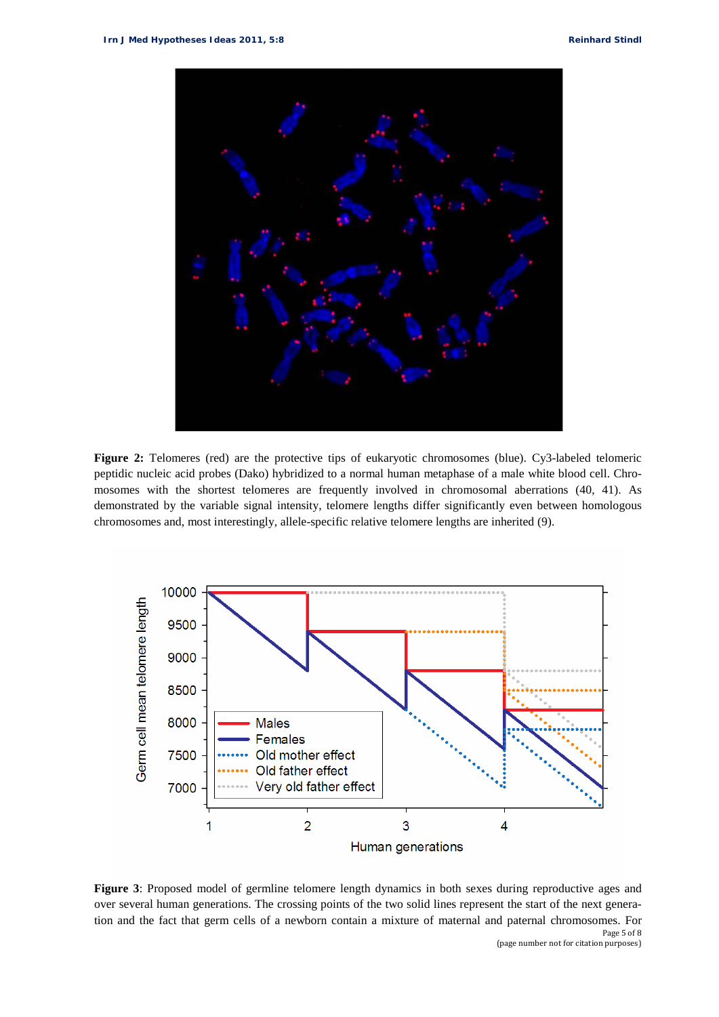

**Figure 2:** Telomeres (red) are the protective tips of eukaryotic chromosomes (blue). Cy3-labeled telomeric peptidic nucleic acid probes (Dako) hybridized to a normal human metaphase of a male white blood cell. Chromosomes with the shortest telomeres are frequently involved in chromosomal aberrations (40, 41). As demonstrated by the variable signal intensity, telomere lengths differ significantly even between homologous chromosomes and, most interestingly, allele-specific relative telomere lengths are inherited (9).



Page 5 of 8 **Figure 3**: Proposed model of germline telomere length dynamics in both sexes during reproductive ages and over several human generations. The crossing points of the two solid lines represent the start of the next generation and the fact that germ cells of a newborn contain a mixture of maternal and paternal chromosomes. For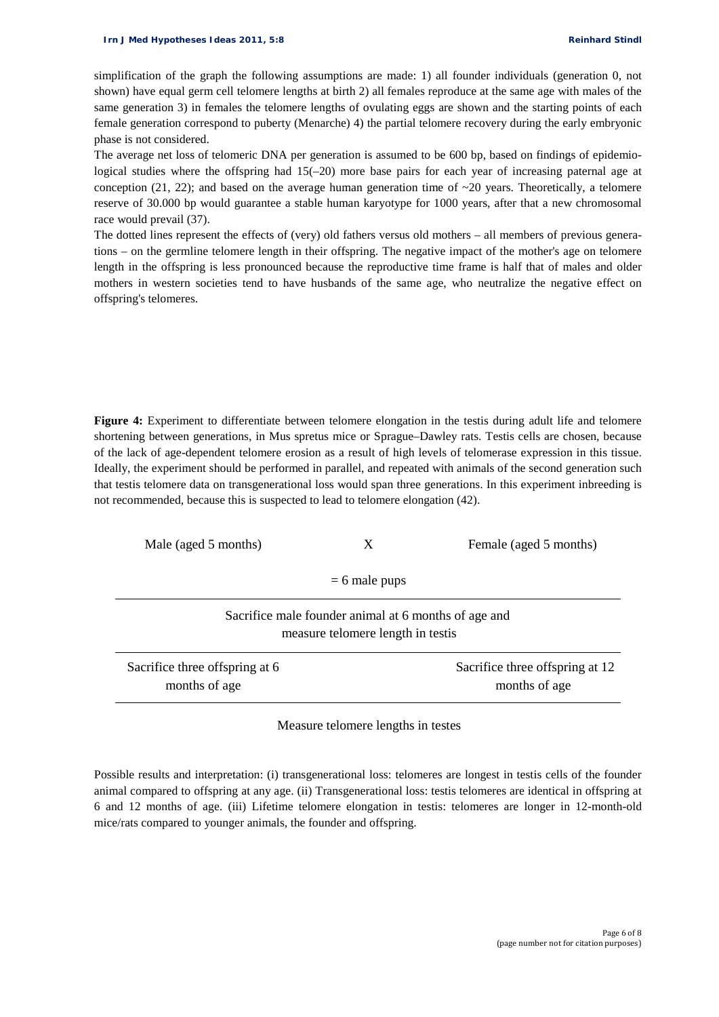simplification of the graph the following assumptions are made: 1) all founder individuals (generation 0, not shown) have equal germ cell telomere lengths at birth 2) all females reproduce at the same age with males of the same generation 3) in females the telomere lengths of ovulating eggs are shown and the starting points of each female generation correspond to puberty (Menarche) 4) the partial telomere recovery during the early embryonic phase is not considered.

The average net loss of telomeric DNA per generation is assumed to be 600 bp, based on findings of epidemiological studies where the offspring had  $15(-20)$  more base pairs for each year of increasing paternal age at conception (21, 22); and based on the average human generation time of  $\sim$ 20 years. Theoretically, a telomere reserve of 30.000 bp would guarantee a stable human karyotype for 1000 years, after that a new chromosomal race would prevail (37).

The dotted lines represent the effects of (very) old fathers versus old mothers – all members of previous generations – on the germline telomere length in their offspring. The negative impact of the mother's age on telomere length in the offspring is less pronounced because the reproductive time frame is half that of males and older mothers in western societies tend to have husbands of the same age, who neutralize the negative effect on offspring's telomeres.

**Figure 4:** Experiment to differentiate between telomere elongation in the testis during adult life and telomere shortening between generations, in Mus spretus mice or Sprague–Dawley rats. Testis cells are chosen, because of the lack of age-dependent telomere erosion as a result of high levels of telomerase expression in this tissue. Ideally, the experiment should be performed in parallel, and repeated with animals of the second generation such that testis telomere data on transgenerational loss would span three generations. In this experiment inbreeding is not recommended, because this is suspected to lead to telomere elongation (42).

| Male (aged 5 months)                                                                      | X | Female (aged 5 months)                           |
|-------------------------------------------------------------------------------------------|---|--------------------------------------------------|
| $= 6$ male pups                                                                           |   |                                                  |
| Sacrifice male founder animal at 6 months of age and<br>measure telomere length in testis |   |                                                  |
| Sacrifice three offspring at 6<br>months of age                                           |   | Sacrifice three offspring at 12<br>months of age |

Measure telomere lengths in testes

Possible results and interpretation: (i) transgenerational loss: telomeres are longest in testis cells of the founder animal compared to offspring at any age. (ii) Transgenerational loss: testis telomeres are identical in offspring at 6 and 12 months of age. (iii) Lifetime telomere elongation in testis: telomeres are longer in 12-month-old mice/rats compared to younger animals, the founder and offspring.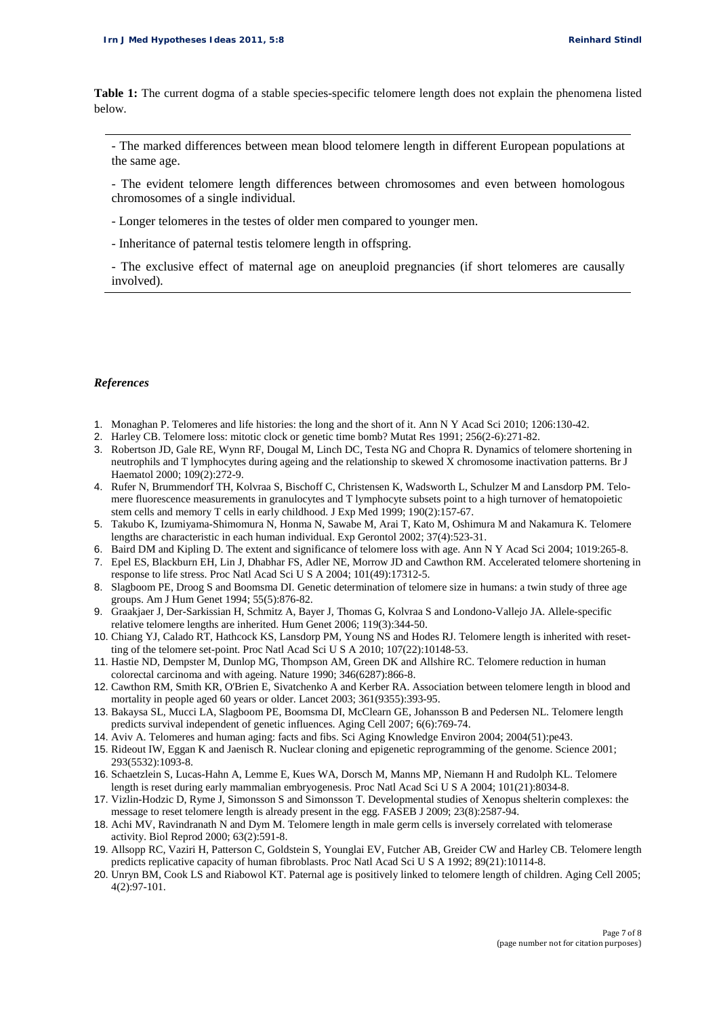**Table 1:** The current dogma of a stable species-specific telomere length does not explain the phenomena listed below.

- The marked differences between mean blood telomere length in different European populations at the same age.

- The evident telomere length differences between chromosomes and even between homologous chromosomes of a single individual.

- Longer telomeres in the testes of older men compared to younger men.

- Inheritance of paternal testis telomere length in offspring.

- The exclusive effect of maternal age on aneuploid pregnancies (if short telomeres are causally involved).

## *References*

- 1. Monaghan P. Telomeres and life histories: the long and the short of it. Ann N Y Acad Sci 2010; 1206:130-42.
- 2. Harley CB. Telomere loss: mitotic clock or genetic time bomb? Mutat Res 1991; 256(2-6):271-82.
- 3. Robertson JD, Gale RE, Wynn RF, Dougal M, Linch DC, Testa NG and Chopra R. Dynamics of telomere shortening in neutrophils and T lymphocytes during ageing and the relationship to skewed X chromosome inactivation patterns. Br J Haematol 2000; 109(2):272-9.
- 4. Rufer N, Brummendorf TH, Kolvraa S, Bischoff C, Christensen K, Wadsworth L, Schulzer M and Lansdorp PM. Telomere fluorescence measurements in granulocytes and T lymphocyte subsets point to a high turnover of hematopoietic stem cells and memory T cells in early childhood. J Exp Med 1999; 190(2):157-67.
- 5. Takubo K, Izumiyama-Shimomura N, Honma N, Sawabe M, Arai T, Kato M, Oshimura M and Nakamura K. Telomere lengths are characteristic in each human individual. Exp Gerontol 2002; 37(4):523-31.
- 6. Baird DM and Kipling D. The extent and significance of telomere loss with age. Ann N Y Acad Sci 2004; 1019:265-8.
- 7. Epel ES, Blackburn EH, Lin J, Dhabhar FS, Adler NE, Morrow JD and Cawthon RM. Accelerated telomere shortening in response to life stress. Proc Natl Acad Sci U S A 2004; 101(49):17312-5.
- 8. Slagboom PE, Droog S and Boomsma DI. Genetic determination of telomere size in humans: a twin study of three age groups. Am J Hum Genet 1994; 55(5):876-82.
- 9. Graakjaer J, Der-Sarkissian H, Schmitz A, Bayer J, Thomas G, Kolvraa S and Londono-Vallejo JA. Allele-specific relative telomere lengths are inherited. Hum Genet 2006; 119(3):344-50.
- 10. Chiang YJ, Calado RT, Hathcock KS, Lansdorp PM, Young NS and Hodes RJ. Telomere length is inherited with resetting of the telomere set-point. Proc Natl Acad Sci U S A 2010; 107(22):10148-53.
- 11. Hastie ND, Dempster M, Dunlop MG, Thompson AM, Green DK and Allshire RC. Telomere reduction in human colorectal carcinoma and with ageing. Nature 1990; 346(6287):866-8.
- 12. Cawthon RM, Smith KR, O'Brien E, Sivatchenko A and Kerber RA. Association between telomere length in blood and mortality in people aged 60 years or older. Lancet 2003; 361(9355):393-95.
- 13. Bakaysa SL, Mucci LA, Slagboom PE, Boomsma DI, McClearn GE, Johansson B and Pedersen NL. Telomere length predicts survival independent of genetic influences. Aging Cell 2007; 6(6):769-74.
- 14. Aviv A. Telomeres and human aging: facts and fibs. Sci Aging Knowledge Environ 2004; 2004(51):pe43.
- 15. Rideout IW, Eggan K and Jaenisch R. Nuclear cloning and epigenetic reprogramming of the genome. Science 2001; 293(5532):1093-8.
- 16. Schaetzlein S, Lucas-Hahn A, Lemme E, Kues WA, Dorsch M, Manns MP, Niemann H and Rudolph KL. Telomere length is reset during early mammalian embryogenesis. Proc Natl Acad Sci U S A 2004; 101(21):8034-8.
- 17. Vizlin-Hodzic D, Ryme J, Simonsson S and Simonsson T. Developmental studies of Xenopus shelterin complexes: the message to reset telomere length is already present in the egg. FASEB J 2009; 23(8):2587-94.
- 18. Achi MV, Ravindranath N and Dym M. Telomere length in male germ cells is inversely correlated with telomerase activity. Biol Reprod 2000; 63(2):591-8.
- 19. Allsopp RC, Vaziri H, Patterson C, Goldstein S, Younglai EV, Futcher AB, Greider CW and Harley CB. Telomere length predicts replicative capacity of human fibroblasts. Proc Natl Acad Sci U S A 1992; 89(21):10114-8.
- 20. Unryn BM, Cook LS and Riabowol KT. Paternal age is positively linked to telomere length of children. Aging Cell 2005; 4(2):97-101.